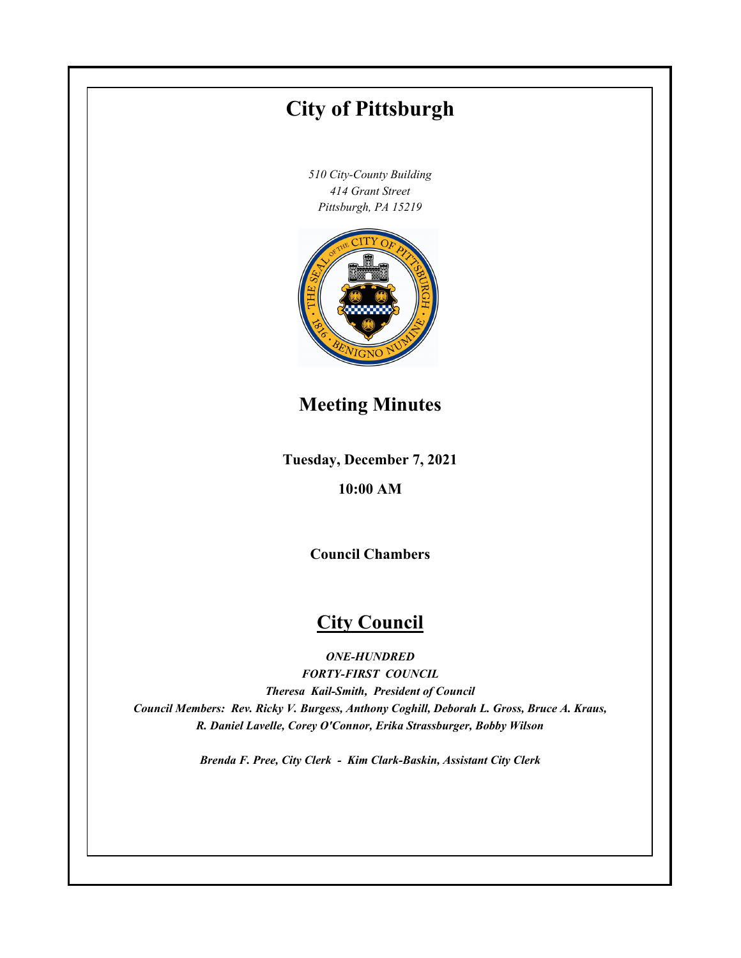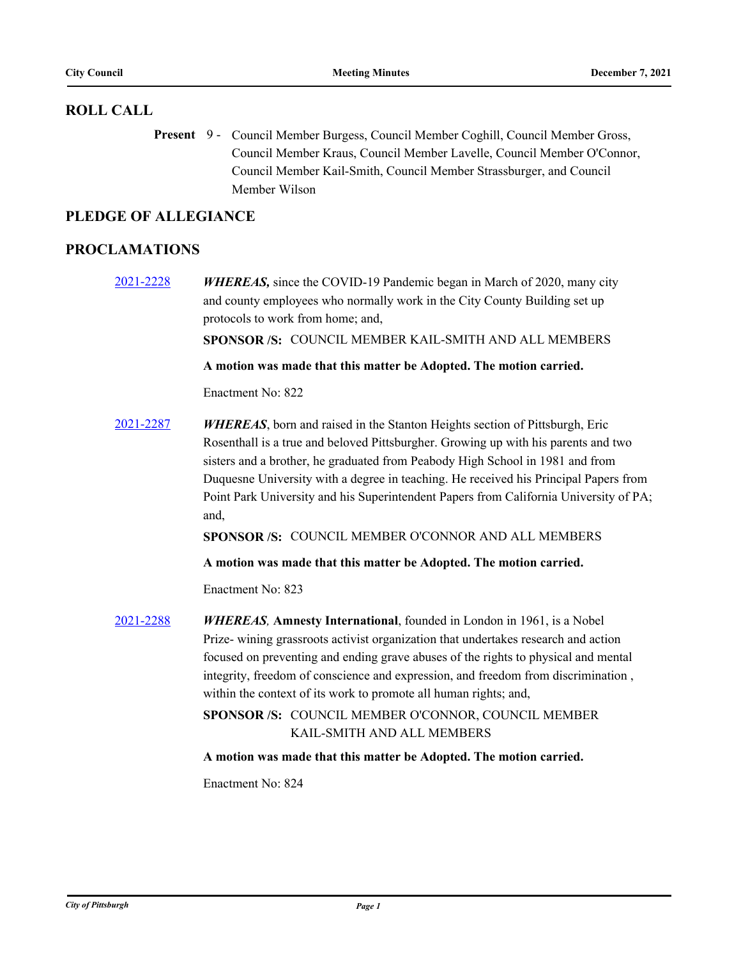## **ROLL CALL**

Present 9 - Council Member Burgess, Council Member Coghill, Council Member Gross, Council Member Kraus, Council Member Lavelle, Council Member O'Connor, Council Member Kail-Smith, Council Member Strassburger, and Council Member Wilson

## **PLEDGE OF ALLEGIANCE**

## **PROCLAMATIONS**

[2021-2228](http://pittsburgh.legistar.com/gateway.aspx?m=l&id=/matter.aspx?key=27130) *WHEREAS,* since the COVID-19 Pandemic began in March of 2020, many city and county employees who normally work in the City County Building set up protocols to work from home; and, **SPONSOR /S:** COUNCIL MEMBER KAIL-SMITH AND ALL MEMBERS **A motion was made that this matter be Adopted. The motion carried.** Enactment No: 822 [2021-2287](http://pittsburgh.legistar.com/gateway.aspx?m=l&id=/matter.aspx?key=27189) *WHEREAS*, born and raised in the Stanton Heights section of Pittsburgh, Eric Rosenthall is a true and beloved Pittsburgher. Growing up with his parents and two sisters and a brother, he graduated from Peabody High School in 1981 and from Duquesne University with a degree in teaching. He received his Principal Papers from Point Park University and his Superintendent Papers from California University of PA; and, **SPONSOR /S:** COUNCIL MEMBER O'CONNOR AND ALL MEMBERS **A motion was made that this matter be Adopted. The motion carried.** Enactment No: 823 [2021-2288](http://pittsburgh.legistar.com/gateway.aspx?m=l&id=/matter.aspx?key=27190) *WHEREAS,* **Amnesty International**, founded in London in 1961, is a Nobel Prize- wining grassroots activist organization that undertakes research and action focused on preventing and ending grave abuses of the rights to physical and mental integrity, freedom of conscience and expression, and freedom from discrimination , within the context of its work to promote all human rights; and, SPONSOR /S: COUNCIL MEMBER O'CONNOR, COUNCIL MEMBER KAIL-SMITH AND ALL MEMBERS **A motion was made that this matter be Adopted. The motion carried.** Enactment No: 824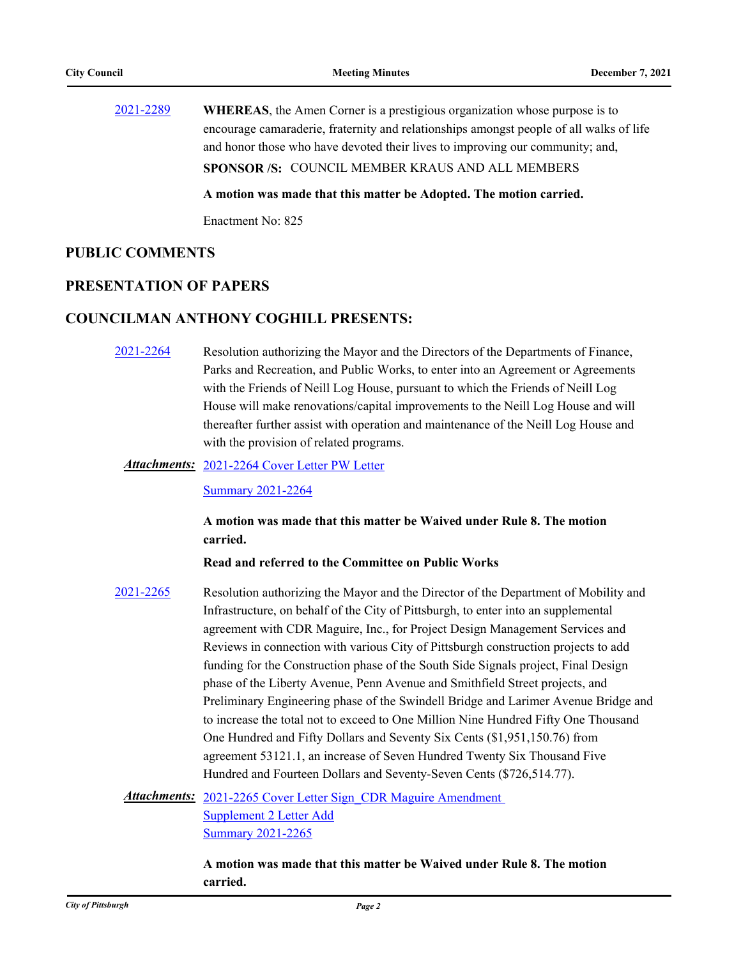[2021-2289](http://pittsburgh.legistar.com/gateway.aspx?m=l&id=/matter.aspx?key=27191) **WHEREAS**, the Amen Corner is a prestigious organization whose purpose is to encourage camaraderie, fraternity and relationships amongst people of all walks of life and honor those who have devoted their lives to improving our community; and, **SPONSOR /S:** COUNCIL MEMBER KRAUS AND ALL MEMBERS **A motion was made that this matter be Adopted. The motion carried.**

Enactment No: 825

### **PUBLIC COMMENTS**

## **PRESENTATION OF PAPERS**

## **COUNCILMAN ANTHONY COGHILL PRESENTS:**

- [2021-2264](http://pittsburgh.legistar.com/gateway.aspx?m=l&id=/matter.aspx?key=27166) Resolution authorizing the Mayor and the Directors of the Departments of Finance, Parks and Recreation, and Public Works, to enter into an Agreement or Agreements with the Friends of Neill Log House, pursuant to which the Friends of Neill Log House will make renovations/capital improvements to the Neill Log House and will thereafter further assist with operation and maintenance of the Neill Log House and with the provision of related programs.
	- Attachments: [2021-2264 Cover Letter PW Letter](http://pittsburgh.legistar.com/gateway.aspx?M=F&ID=e5a16621-031a-4be5-9cdd-8798cc579a18.PDF)

[Summary 2021-2264](http://pittsburgh.legistar.com/gateway.aspx?M=F&ID=63d6d4b1-119c-43bb-8ced-efaffe763def.docx)

**A motion was made that this matter be Waived under Rule 8. The motion carried.**

### **Read and referred to the Committee on Public Works**

[2021-2265](http://pittsburgh.legistar.com/gateway.aspx?m=l&id=/matter.aspx?key=27167) Resolution authorizing the Mayor and the Director of the Department of Mobility and Infrastructure, on behalf of the City of Pittsburgh, to enter into an supplemental agreement with CDR Maguire, Inc., for Project Design Management Services and Reviews in connection with various City of Pittsburgh construction projects to add funding for the Construction phase of the South Side Signals project, Final Design phase of the Liberty Avenue, Penn Avenue and Smithfield Street projects, and Preliminary Engineering phase of the Swindell Bridge and Larimer Avenue Bridge and to increase the total not to exceed to One Million Nine Hundred Fifty One Thousand One Hundred and Fifty Dollars and Seventy Six Cents (\$1,951,150.76) from agreement 53121.1, an increase of Seven Hundred Twenty Six Thousand Five Hundred and Fourteen Dollars and Seventy-Seven Cents (\$726,514.77).

Attachments: 2021-2265 Cover Letter Sign CDR Maguire Amendment Supplement 2 Letter Add [Summary 2021-2265](http://pittsburgh.legistar.com/gateway.aspx?M=F&ID=00316ea2-9240-4b2b-b0e3-f7b13005edc5.docx)

> **A motion was made that this matter be Waived under Rule 8. The motion carried.**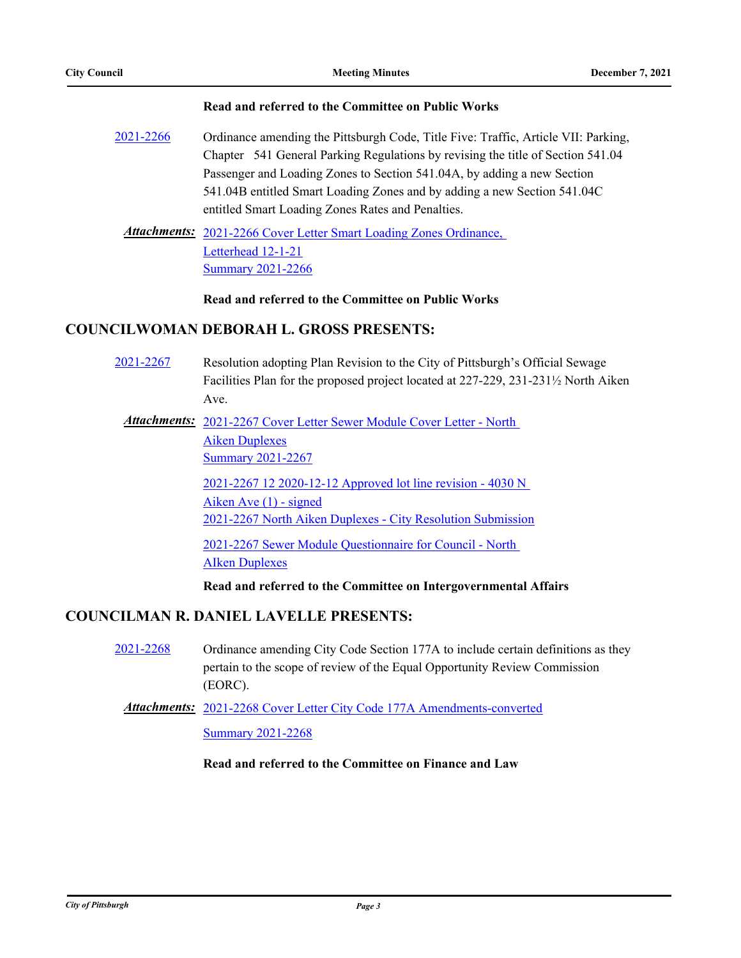### **Read and referred to the Committee on Public Works**

[2021-2266](http://pittsburgh.legistar.com/gateway.aspx?m=l&id=/matter.aspx?key=27168) Ordinance amending the Pittsburgh Code, Title Five: Traffic, Article VII: Parking, Chapter 541 General Parking Regulations by revising the title of Section 541.04 Passenger and Loading Zones to Section 541.04A, by adding a new Section 541.04B entitled Smart Loading Zones and by adding a new Section 541.04C entitled Smart Loading Zones Rates and Penalties.

Attachments: 2021-2266 Cover Letter Smart Loading Zones Ordinance, Letterhead 12-1-21 **[Summary 2021-2266](http://pittsburgh.legistar.com/gateway.aspx?M=F&ID=57cc36f0-ecc8-4095-ba1c-ac6709b15007.docx)** 

**Read and referred to the Committee on Public Works**

## **COUNCILWOMAN DEBORAH L. GROSS PRESENTS:**

[2021-2267](http://pittsburgh.legistar.com/gateway.aspx?m=l&id=/matter.aspx?key=27169) Resolution adopting Plan Revision to the City of Pittsburgh's Official Sewage Facilities Plan for the proposed project located at 227-229, 231-231½ North Aiken Ave.

Attachments: 2021-2267 Cover Letter Sewer Module Cover Letter - North Aiken Duplexes [Summary 2021-2267](http://pittsburgh.legistar.com/gateway.aspx?M=F&ID=2d1671c6-8560-4a0a-8c5f-d2e38f484daa.docx)

> [2021-2267 12 2020-12-12 Approved lot line revision - 4030 N](http://pittsburgh.legistar.com/gateway.aspx?M=F&ID=8522683c-a039-47d1-baa1-82deef8b0822.pdf)  Aiken Ave (1) - signed [2021-2267 North Aiken Duplexes - City Resolution Submission](http://pittsburgh.legistar.com/gateway.aspx?M=F&ID=12d62d7b-33ca-49e5-8ed7-f3fc6444b7c9.pdf)

[2021-2267 Sewer Module Questionnaire for Council - North](http://pittsburgh.legistar.com/gateway.aspx?M=F&ID=622bd586-3896-48ac-81fa-2aab8b05bd22.docx)  AIken Duplexes

**Read and referred to the Committee on Intergovernmental Affairs**

## **COUNCILMAN R. DANIEL LAVELLE PRESENTS:**

- [2021-2268](http://pittsburgh.legistar.com/gateway.aspx?m=l&id=/matter.aspx?key=27170) Ordinance amending City Code Section 177A to include certain definitions as they pertain to the scope of review of the Equal Opportunity Review Commission (EORC).
	- Attachments: [2021-2268 Cover Letter City Code 177A Amendments-converted](http://pittsburgh.legistar.com/gateway.aspx?M=F&ID=996a4eee-451f-4e1e-8253-c14d65ca1a68.pdf)

[Summary 2021-2268](http://pittsburgh.legistar.com/gateway.aspx?M=F&ID=695a69fc-0edf-479f-a112-95f7a88f4ae4.docx)

**Read and referred to the Committee on Finance and Law**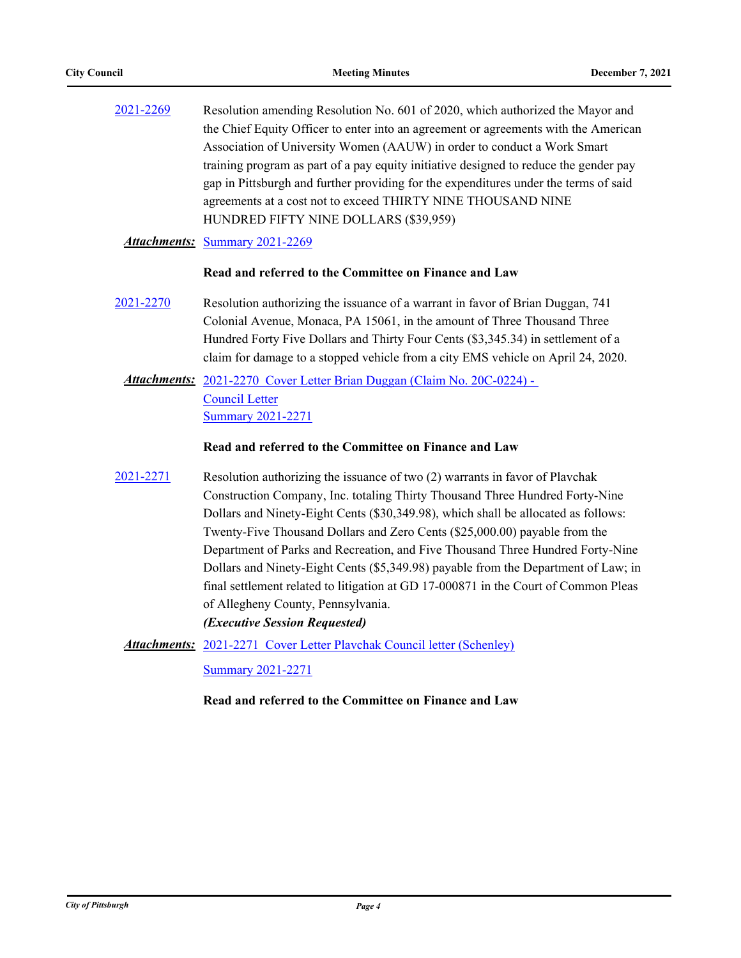| 2021-2269 | Resolution amending Resolution No. 601 of 2020, which authorized the Mayor and        |
|-----------|---------------------------------------------------------------------------------------|
|           | the Chief Equity Officer to enter into an agreement or agreements with the American   |
|           | Association of University Women (AAUW) in order to conduct a Work Smart               |
|           | training program as part of a pay equity initiative designed to reduce the gender pay |
|           | gap in Pittsburgh and further providing for the expenditures under the terms of said  |
|           | agreements at a cost not to exceed THIRTY NINE THOUSAND NINE                          |
|           | HUNDRED FIFTY NINE DOLLARS (\$39,959)                                                 |

### *Attachments:* [Summary 2021-2269](http://pittsburgh.legistar.com/gateway.aspx?M=F&ID=4ee9b455-6e56-413f-8eb9-d2201fc6a06a.docx)

### **Read and referred to the Committee on Finance and Law**

[2021-2270](http://pittsburgh.legistar.com/gateway.aspx?m=l&id=/matter.aspx?key=27172) Resolution authorizing the issuance of a warrant in favor of Brian Duggan, 741 Colonial Avenue, Monaca, PA 15061, in the amount of Three Thousand Three Hundred Forty Five Dollars and Thirty Four Cents (\$3,345.34) in settlement of a claim for damage to a stopped vehicle from a city EMS vehicle on April 24, 2020.

Attachments: 2021-2270 Cover Letter Brian Duggan (Claim No. 20C-0224) -Council Letter [Summary 2021-2271](http://pittsburgh.legistar.com/gateway.aspx?M=F&ID=ed73be42-8908-4c4e-8668-c1bb420e078a.docx)

### **Read and referred to the Committee on Finance and Law**

- [2021-2271](http://pittsburgh.legistar.com/gateway.aspx?m=l&id=/matter.aspx?key=27173) Resolution authorizing the issuance of two (2) warrants in favor of Plavchak Construction Company, Inc. totaling Thirty Thousand Three Hundred Forty-Nine Dollars and Ninety-Eight Cents (\$30,349.98), which shall be allocated as follows: Twenty-Five Thousand Dollars and Zero Cents (\$25,000.00) payable from the Department of Parks and Recreation, and Five Thousand Three Hundred Forty-Nine Dollars and Ninety-Eight Cents (\$5,349.98) payable from the Department of Law; in final settlement related to litigation at GD 17-000871 in the Court of Common Pleas of Allegheny County, Pennsylvania. *(Executive Session Requested)*
	- Attachments: 2021-2271 Cover Letter Playchak Council letter (Schenley) [Summary 2021-2271](http://pittsburgh.legistar.com/gateway.aspx?M=F&ID=97e07721-fc2e-4bc2-89a7-0bf296d84b79.docx)

**Read and referred to the Committee on Finance and Law**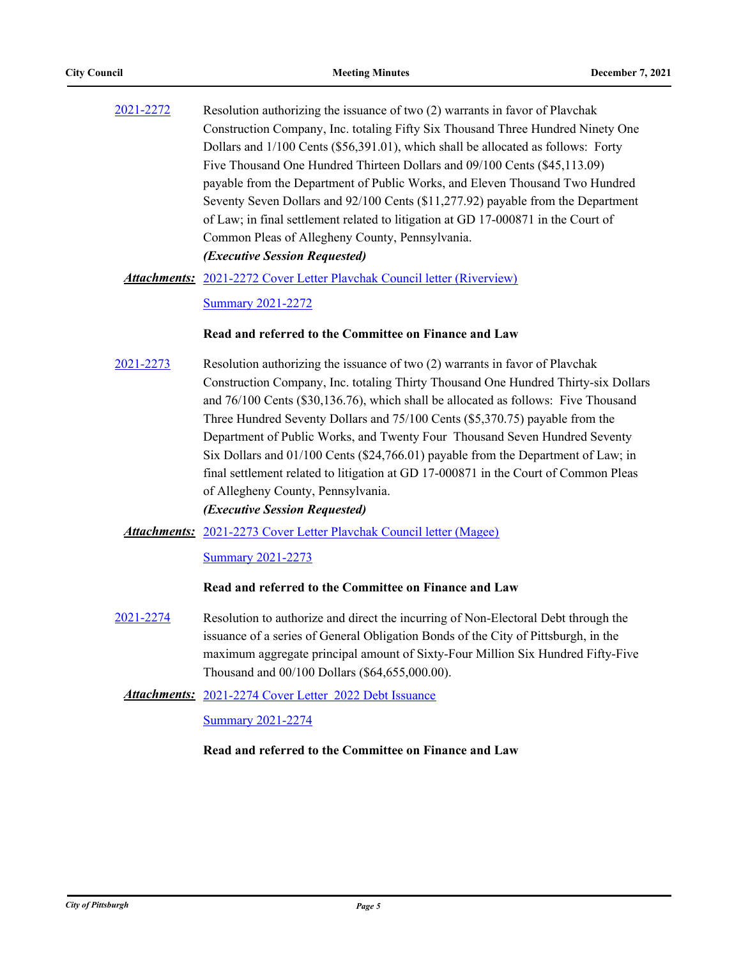[2021-2272](http://pittsburgh.legistar.com/gateway.aspx?m=l&id=/matter.aspx?key=27174) Resolution authorizing the issuance of two (2) warrants in favor of Plavchak Construction Company, Inc. totaling Fifty Six Thousand Three Hundred Ninety One Dollars and 1/100 Cents (\$56,391.01), which shall be allocated as follows: Forty Five Thousand One Hundred Thirteen Dollars and 09/100 Cents (\$45,113.09) payable from the Department of Public Works, and Eleven Thousand Two Hundred Seventy Seven Dollars and 92/100 Cents (\$11,277.92) payable from the Department of Law; in final settlement related to litigation at GD 17-000871 in the Court of Common Pleas of Allegheny County, Pennsylvania. *(Executive Session Requested)*

Attachments: [2021-2272 Cover Letter Plavchak Council letter \(Riverview\)](http://pittsburgh.legistar.com/gateway.aspx?M=F&ID=a75700d4-eca9-4f05-90c7-9c7c9d4226de.docx)

[Summary 2021-2272](http://pittsburgh.legistar.com/gateway.aspx?M=F&ID=f3d2cfe2-e145-4c9a-a8b0-644c4f0b05ab.docx)

### **Read and referred to the Committee on Finance and Law**

[2021-2273](http://pittsburgh.legistar.com/gateway.aspx?m=l&id=/matter.aspx?key=27175) Resolution authorizing the issuance of two (2) warrants in favor of Plavchak Construction Company, Inc. totaling Thirty Thousand One Hundred Thirty-six Dollars and 76/100 Cents (\$30,136.76), which shall be allocated as follows: Five Thousand Three Hundred Seventy Dollars and 75/100 Cents (\$5,370.75) payable from the Department of Public Works, and Twenty Four Thousand Seven Hundred Seventy Six Dollars and 01/100 Cents (\$24,766.01) payable from the Department of Law; in final settlement related to litigation at GD 17-000871 in the Court of Common Pleas of Allegheny County, Pennsylvania.

### *(Executive Session Requested)*

Attachments: [2021-2273 Cover Letter Plavchak Council letter \(Magee\)](http://pittsburgh.legistar.com/gateway.aspx?M=F&ID=8fdcde13-8368-4fef-9be3-fe72ef1cbcc9.docx)

[Summary 2021-2273](http://pittsburgh.legistar.com/gateway.aspx?M=F&ID=ed893a9a-f535-4082-ac8a-85c5fdc57757.docx)

### **Read and referred to the Committee on Finance and Law**

[2021-2274](http://pittsburgh.legistar.com/gateway.aspx?m=l&id=/matter.aspx?key=27176) Resolution to authorize and direct the incurring of Non-Electoral Debt through the issuance of a series of General Obligation Bonds of the City of Pittsburgh, in the maximum aggregate principal amount of Sixty-Four Million Six Hundred Fifty-Five Thousand and 00/100 Dollars (\$64,655,000.00).

Attachments: [2021-2274 Cover Letter 2022 Debt Issuance](http://pittsburgh.legistar.com/gateway.aspx?M=F&ID=26503bfb-939e-4fb5-a366-2eef1cc446e6.docx)

[Summary 2021-2274](http://pittsburgh.legistar.com/gateway.aspx?M=F&ID=4dd07adc-d071-4969-a3fb-4d6defe1f608.docx)

### **Read and referred to the Committee on Finance and Law**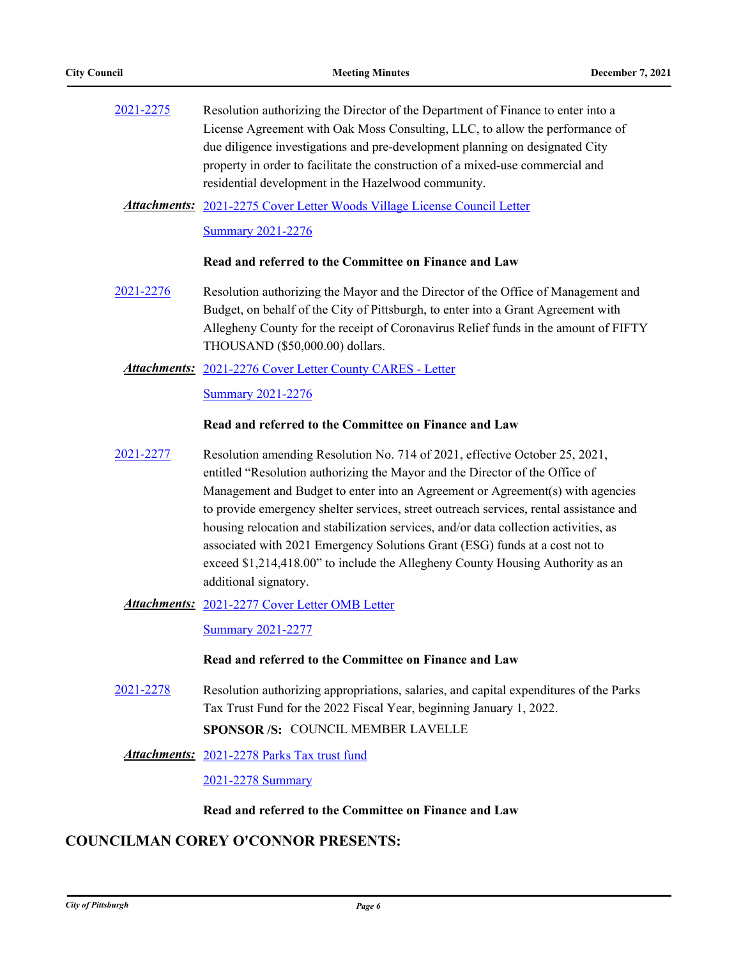| 2021-2275 | Resolution authorizing the Director of the Department of Finance to enter into a |
|-----------|----------------------------------------------------------------------------------|
|           | License Agreement with Oak Moss Consulting, LLC, to allow the performance of     |
|           | due diligence investigations and pre-development planning on designated City     |
|           | property in order to facilitate the construction of a mixed-use commercial and   |
|           | residential development in the Hazelwood community.                              |

Attachments: [2021-2275 Cover Letter Woods Village License Council Letter](http://pittsburgh.legistar.com/gateway.aspx?M=F&ID=dd58616c-b4b3-49e6-95ec-9885e0b13eaf.docx) [Summary 2021-2276](http://pittsburgh.legistar.com/gateway.aspx?M=F&ID=bfff6edf-6b2e-4ea8-93a7-4d6d9684cbc2.docx)

### **Read and referred to the Committee on Finance and Law**

[2021-2276](http://pittsburgh.legistar.com/gateway.aspx?m=l&id=/matter.aspx?key=27178) Resolution authorizing the Mayor and the Director of the Office of Management and Budget, on behalf of the City of Pittsburgh, to enter into a Grant Agreement with Allegheny County for the receipt of Coronavirus Relief funds in the amount of FIFTY THOUSAND (\$50,000.00) dollars.

### [2021-2276 Cover Letter County CARES - Letter](http://pittsburgh.legistar.com/gateway.aspx?M=F&ID=0791564b-e169-4a1d-8f3b-ebb34b3f0e51.pdf) *Attachments:*

[Summary 2021-2276](http://pittsburgh.legistar.com/gateway.aspx?M=F&ID=317cfaef-f22e-4a07-abe6-30111ca4158f.docx)

### **Read and referred to the Committee on Finance and Law**

[2021-2277](http://pittsburgh.legistar.com/gateway.aspx?m=l&id=/matter.aspx?key=27179) Resolution amending Resolution No. 714 of 2021, effective October 25, 2021, entitled "Resolution authorizing the Mayor and the Director of the Office of Management and Budget to enter into an Agreement or Agreement(s) with agencies to provide emergency shelter services, street outreach services, rental assistance and housing relocation and stabilization services, and/or data collection activities, as associated with 2021 Emergency Solutions Grant (ESG) funds at a cost not to exceed \$1,214,418.00" to include the Allegheny County Housing Authority as an additional signatory.

### Attachments: [2021-2277 Cover Letter OMB Letter](http://pittsburgh.legistar.com/gateway.aspx?M=F&ID=ee68552d-2dc1-4b49-86f0-4b6a37377d72.docx)

[Summary 2021-2277](http://pittsburgh.legistar.com/gateway.aspx?M=F&ID=340d076f-93bd-48de-be71-c33b88d932ed.docx)

### **Read and referred to the Committee on Finance and Law**

[2021-2278](http://pittsburgh.legistar.com/gateway.aspx?m=l&id=/matter.aspx?key=27180) Resolution authorizing appropriations, salaries, and capital expenditures of the Parks Tax Trust Fund for the 2022 Fiscal Year, beginning January 1, 2022. **SPONSOR /S:** COUNCIL MEMBER LAVELLE

### [2021-2278 Parks Tax trust fund](http://pittsburgh.legistar.com/gateway.aspx?M=F&ID=b70358f8-b8ad-4c65-8aa7-7bad4a7b0836.pdf) *Attachments:*

[2021-2278 Summary](http://pittsburgh.legistar.com/gateway.aspx?M=F&ID=2abfa815-d676-478c-bb42-59dfc6aafe50.docx)

### **Read and referred to the Committee on Finance and Law**

## **COUNCILMAN COREY O'CONNOR PRESENTS:**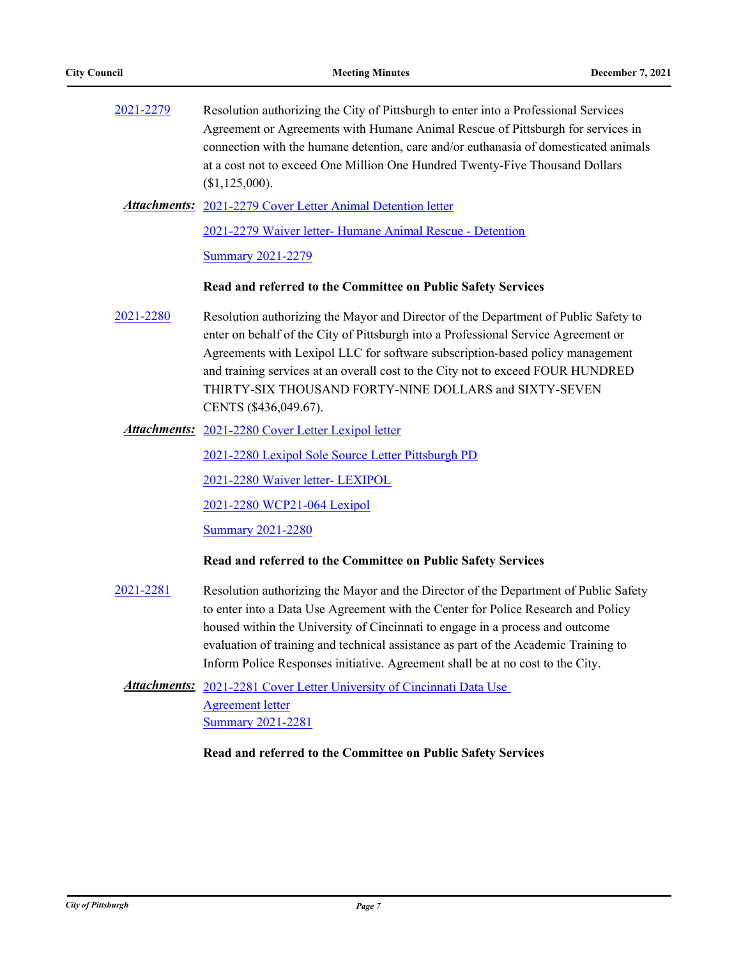| 2021-2279        | Resolution authorizing the City of Pittsburgh to enter into a Professional Services<br>Agreement or Agreements with Humane Animal Rescue of Pittsburgh for services in<br>connection with the humane detention, care and/or euthanasia of domesticated animals<br>at a cost not to exceed One Million One Hundred Twenty-Five Thousand Dollars<br>(\$1,125,000).                                                                    |
|------------------|-------------------------------------------------------------------------------------------------------------------------------------------------------------------------------------------------------------------------------------------------------------------------------------------------------------------------------------------------------------------------------------------------------------------------------------|
|                  | <b>Attachments:</b> 2021-2279 Cover Letter Animal Detention letter                                                                                                                                                                                                                                                                                                                                                                  |
|                  | 2021-2279 Waiver letter- Humane Animal Rescue - Detention                                                                                                                                                                                                                                                                                                                                                                           |
|                  | <b>Summary 2021-2279</b>                                                                                                                                                                                                                                                                                                                                                                                                            |
|                  | Read and referred to the Committee on Public Safety Services                                                                                                                                                                                                                                                                                                                                                                        |
| 2021-2280        | Resolution authorizing the Mayor and Director of the Department of Public Safety to<br>enter on behalf of the City of Pittsburgh into a Professional Service Agreement or<br>Agreements with Lexipol LLC for software subscription-based policy management<br>and training services at an overall cost to the City not to exceed FOUR HUNDRED<br>THIRTY-SIX THOUSAND FORTY-NINE DOLLARS and SIXTY-SEVEN<br>CENTS (\$436,049.67).    |
|                  | Attachments: 2021-2280 Cover Letter Lexipol letter                                                                                                                                                                                                                                                                                                                                                                                  |
|                  | 2021-2280 Lexipol Sole Source Letter Pittsburgh PD                                                                                                                                                                                                                                                                                                                                                                                  |
|                  | 2021-2280 Waiver letter- LEXIPOL                                                                                                                                                                                                                                                                                                                                                                                                    |
|                  | 2021-2280 WCP21-064 Lexipol                                                                                                                                                                                                                                                                                                                                                                                                         |
|                  | <b>Summary 2021-2280</b>                                                                                                                                                                                                                                                                                                                                                                                                            |
|                  | Read and referred to the Committee on Public Safety Services                                                                                                                                                                                                                                                                                                                                                                        |
| <u>2021-2281</u> | Resolution authorizing the Mayor and the Director of the Department of Public Safety<br>to enter into a Data Use Agreement with the Center for Police Research and Policy<br>housed within the University of Cincinnati to engage in a process and outcome<br>evaluation of training and technical assistance as part of the Academic Training to<br>Inform Police Responses initiative. Agreement shall be at no cost to the City. |
|                  | <b>Attachments:</b> 2021-2281 Cover Letter University of Cincinnati Data Use                                                                                                                                                                                                                                                                                                                                                        |
|                  | <b>Agreement letter</b>                                                                                                                                                                                                                                                                                                                                                                                                             |
|                  | <b>Summary 2021-2281</b>                                                                                                                                                                                                                                                                                                                                                                                                            |

## **Read and referred to the Committee on Public Safety Services**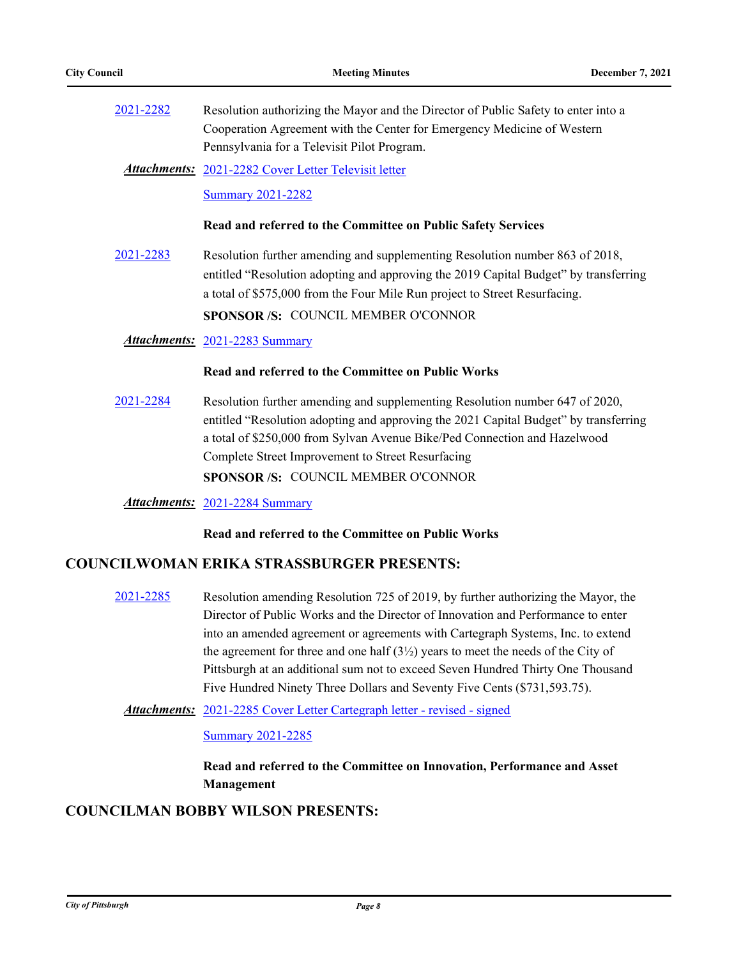[2021-2282](http://pittsburgh.legistar.com/gateway.aspx?m=l&id=/matter.aspx?key=27184) Resolution authorizing the Mayor and the Director of Public Safety to enter into a Cooperation Agreement with the Center for Emergency Medicine of Western Pennsylvania for a Televisit Pilot Program.

[2021-2282 Cover Letter Televisit letter](http://pittsburgh.legistar.com/gateway.aspx?M=F&ID=0c43f275-9f62-49a7-ad60-7643cfb07f29.pdf) *Attachments:*

[Summary 2021-2282](http://pittsburgh.legistar.com/gateway.aspx?M=F&ID=bf6d3673-fb88-4efa-81a1-771f913598c7.docx)

### **Read and referred to the Committee on Public Safety Services**

[2021-2283](http://pittsburgh.legistar.com/gateway.aspx?m=l&id=/matter.aspx?key=27185) Resolution further amending and supplementing Resolution number 863 of 2018, entitled "Resolution adopting and approving the 2019 Capital Budget" by transferring a total of \$575,000 from the Four Mile Run project to Street Resurfacing. **SPONSOR /S:** COUNCIL MEMBER O'CONNOR

*Attachments:* [2021-2283 Summary](http://pittsburgh.legistar.com/gateway.aspx?M=F&ID=35b21a63-3299-4f05-babd-339bf79549d1.docx)

### **Read and referred to the Committee on Public Works**

[2021-2284](http://pittsburgh.legistar.com/gateway.aspx?m=l&id=/matter.aspx?key=27186) Resolution further amending and supplementing Resolution number 647 of 2020, entitled "Resolution adopting and approving the 2021 Capital Budget" by transferring a total of \$250,000 from Sylvan Avenue Bike/Ped Connection and Hazelwood Complete Street Improvement to Street Resurfacing **SPONSOR /S:** COUNCIL MEMBER O'CONNOR

*Attachments:* [2021-2284 Summary](http://pittsburgh.legistar.com/gateway.aspx?M=F&ID=0d0e0717-06aa-4600-8878-1b96bf6806e8.docx)

**Read and referred to the Committee on Public Works**

### **COUNCILWOMAN ERIKA STRASSBURGER PRESENTS:**

[2021-2285](http://pittsburgh.legistar.com/gateway.aspx?m=l&id=/matter.aspx?key=27187) Resolution amending Resolution 725 of 2019, by further authorizing the Mayor, the Director of Public Works and the Director of Innovation and Performance to enter into an amended agreement or agreements with Cartegraph Systems, Inc. to extend the agreement for three and one half  $(3\frac{1}{2})$  years to meet the needs of the City of Pittsburgh at an additional sum not to exceed Seven Hundred Thirty One Thousand Five Hundred Ninety Three Dollars and Seventy Five Cents (\$731,593.75).

Attachments: [2021-2285 Cover Letter Cartegraph letter - revised - signed](http://pittsburgh.legistar.com/gateway.aspx?M=F&ID=95584a8f-c637-48fe-a12b-0547e1baf5c0.pdf)

[Summary 2021-2285](http://pittsburgh.legistar.com/gateway.aspx?M=F&ID=3b4efe26-f502-4416-a582-73269b220c1d.docx)

**Read and referred to the Committee on Innovation, Performance and Asset Management**

## **COUNCILMAN BOBBY WILSON PRESENTS:**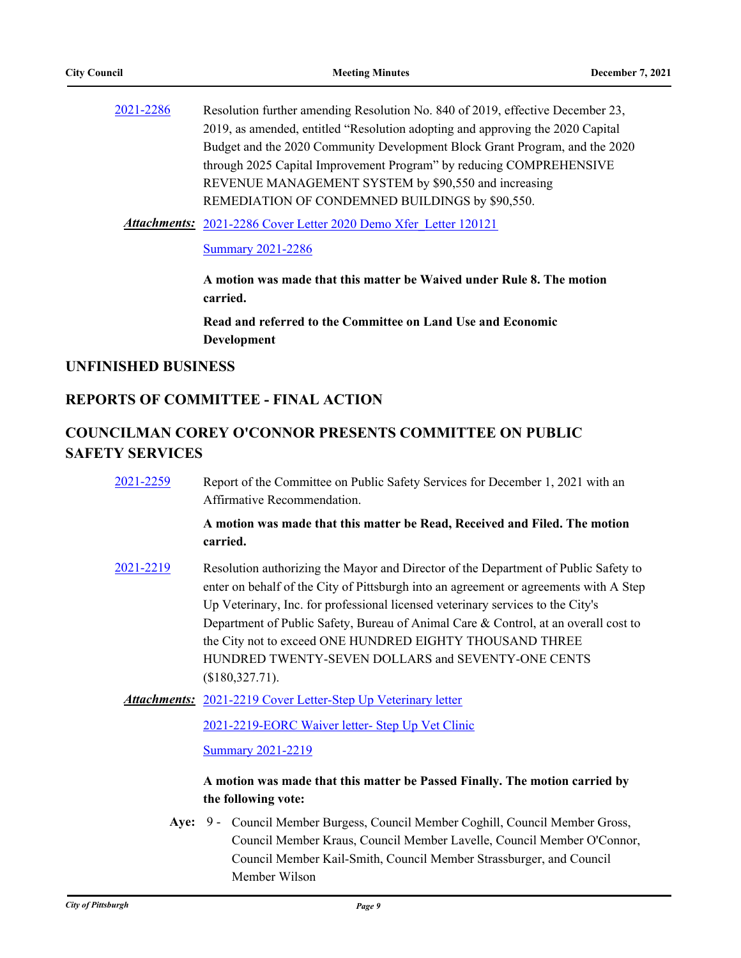| 2019, as amended, entitled "Resolution adopting and approving the 2020 Capital<br>through 2025 Capital Improvement Program" by reducing COMPREHENSIVE<br>REVENUE MANAGEMENT SYSTEM by \$90,550 and increasing<br>REMEDIATION OF CONDEMNED BUILDINGS by \$90,550. | 2021-2286 | Resolution further amending Resolution No. 840 of 2019, effective December 23, |
|------------------------------------------------------------------------------------------------------------------------------------------------------------------------------------------------------------------------------------------------------------------|-----------|--------------------------------------------------------------------------------|
|                                                                                                                                                                                                                                                                  |           |                                                                                |
|                                                                                                                                                                                                                                                                  |           | Budget and the 2020 Community Development Block Grant Program, and the 2020    |
|                                                                                                                                                                                                                                                                  |           |                                                                                |
|                                                                                                                                                                                                                                                                  |           |                                                                                |
|                                                                                                                                                                                                                                                                  |           |                                                                                |

[2021-2286 Cover Letter 2020 Demo Xfer\\_Letter 120121](http://pittsburgh.legistar.com/gateway.aspx?M=F&ID=83cb3db8-82f9-4a26-ab4c-32affc2f1b5f.docx) *Attachments:*

### [Summary 2021-2286](http://pittsburgh.legistar.com/gateway.aspx?M=F&ID=fce435f6-19f1-4712-8511-a11d0cd8c0f2.docx)

**A motion was made that this matter be Waived under Rule 8. The motion carried.**

**Read and referred to the Committee on Land Use and Economic Development**

## **UNFINISHED BUSINESS**

## **REPORTS OF COMMITTEE - FINAL ACTION**

# **COUNCILMAN COREY O'CONNOR PRESENTS COMMITTEE ON PUBLIC SAFETY SERVICES**

| 2021-2259 | Report of the Committee on Public Safety Services for December 1, 2021 with an |
|-----------|--------------------------------------------------------------------------------|
|           | Affirmative Recommendation.                                                    |

### **A motion was made that this matter be Read, Received and Filed. The motion carried.**

[2021-2219](http://pittsburgh.legistar.com/gateway.aspx?m=l&id=/matter.aspx?key=27121) Resolution authorizing the Mayor and Director of the Department of Public Safety to enter on behalf of the City of Pittsburgh into an agreement or agreements with A Step Up Veterinary, Inc. for professional licensed veterinary services to the City's Department of Public Safety, Bureau of Animal Care & Control, at an overall cost to the City not to exceed ONE HUNDRED EIGHTY THOUSAND THREE HUNDRED TWENTY-SEVEN DOLLARS and SEVENTY-ONE CENTS (\$180,327.71).

Attachments: [2021-2219 Cover Letter-Step Up Veterinary letter](http://pittsburgh.legistar.com/gateway.aspx?M=F&ID=60eb5b86-a886-49a7-b6e1-1c12c22ff55f.pdf)

[2021-2219-EORC Waiver letter- Step Up Vet Clinic](http://pittsburgh.legistar.com/gateway.aspx?M=F&ID=331c2c5b-fb70-4673-987c-edb1468597e9.docx)

**[Summary 2021-2219](http://pittsburgh.legistar.com/gateway.aspx?M=F&ID=93146378-e286-4dbc-a5d7-3ba14997803e.docx)** 

## **A motion was made that this matter be Passed Finally. The motion carried by the following vote:**

Aye: 9 - Council Member Burgess, Council Member Coghill, Council Member Gross, Council Member Kraus, Council Member Lavelle, Council Member O'Connor, Council Member Kail-Smith, Council Member Strassburger, and Council Member Wilson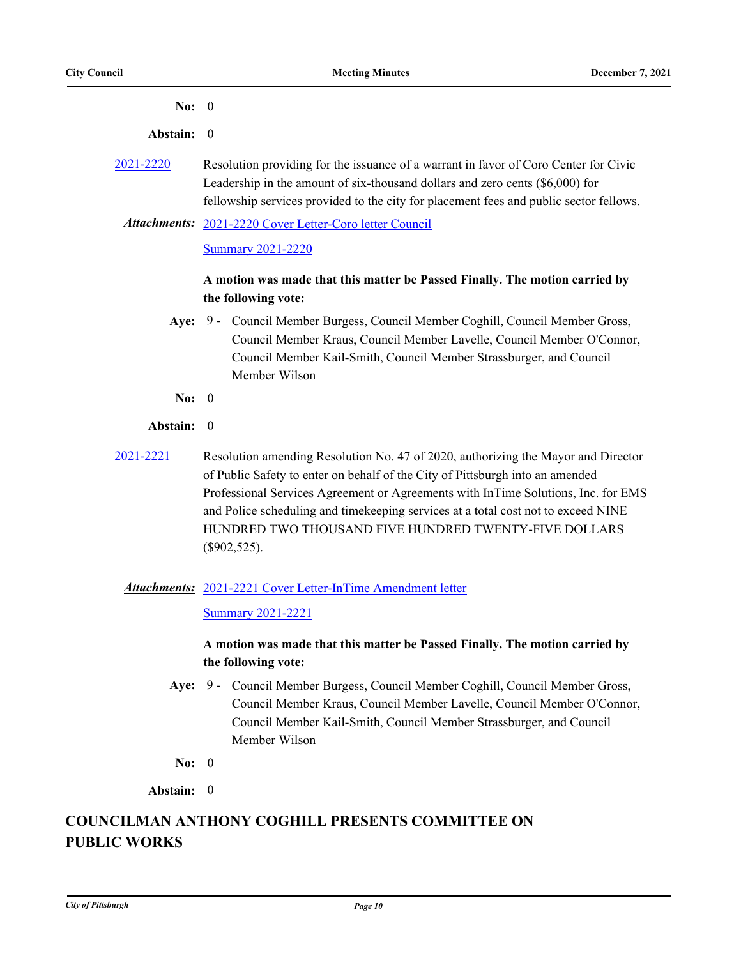| No: $0$    |                                                                                                                                                                                                                                                                                                                                                                                                                         |
|------------|-------------------------------------------------------------------------------------------------------------------------------------------------------------------------------------------------------------------------------------------------------------------------------------------------------------------------------------------------------------------------------------------------------------------------|
| Abstain:   | $\theta$                                                                                                                                                                                                                                                                                                                                                                                                                |
| 2021-2220  | Resolution providing for the issuance of a warrant in favor of Coro Center for Civic<br>Leadership in the amount of six-thousand dollars and zero cents (\$6,000) for<br>fellowship services provided to the city for placement fees and public sector fellows.                                                                                                                                                         |
|            | Attachments: 2021-2220 Cover Letter-Coro letter Council                                                                                                                                                                                                                                                                                                                                                                 |
|            | <b>Summary 2021-2220</b>                                                                                                                                                                                                                                                                                                                                                                                                |
|            | A motion was made that this matter be Passed Finally. The motion carried by                                                                                                                                                                                                                                                                                                                                             |
|            | the following vote:                                                                                                                                                                                                                                                                                                                                                                                                     |
|            | Aye: 9 - Council Member Burgess, Council Member Coghill, Council Member Gross,<br>Council Member Kraus, Council Member Lavelle, Council Member O'Connor,<br>Council Member Kail-Smith, Council Member Strassburger, and Council<br>Member Wilson                                                                                                                                                                        |
| No: $0$    |                                                                                                                                                                                                                                                                                                                                                                                                                         |
| Abstain: 0 |                                                                                                                                                                                                                                                                                                                                                                                                                         |
| 2021-2221  | Resolution amending Resolution No. 47 of 2020, authorizing the Mayor and Director<br>of Public Safety to enter on behalf of the City of Pittsburgh into an amended<br>Professional Services Agreement or Agreements with InTime Solutions, Inc. for EMS<br>and Police scheduling and timekeeping services at a total cost not to exceed NINE<br>HUNDRED TWO THOUSAND FIVE HUNDRED TWENTY-FIVE DOLLARS<br>$(\$902,525).$ |
|            | <b>Attachments:</b> 2021-2221 Cover Letter-InTime Amendment letter<br><b>Summary 2021-2221</b>                                                                                                                                                                                                                                                                                                                          |

## **A motion was made that this matter be Passed Finally. The motion carried by the following vote:**

- Aye: 9 Council Member Burgess, Council Member Coghill, Council Member Gross, Council Member Kraus, Council Member Lavelle, Council Member O'Connor, Council Member Kail-Smith, Council Member Strassburger, and Council Member Wilson
- **No:** 0

**Abstain:** 0

# **COUNCILMAN ANTHONY COGHILL PRESENTS COMMITTEE ON PUBLIC WORKS**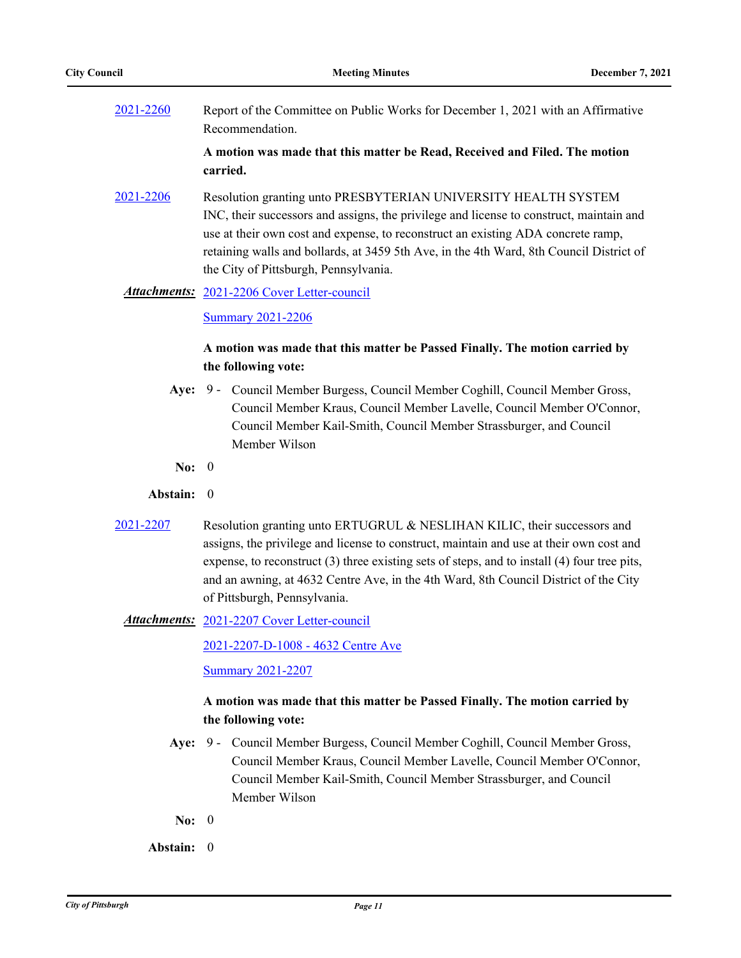[2021-2260](http://pittsburgh.legistar.com/gateway.aspx?m=l&id=/matter.aspx?key=27162) Report of the Committee on Public Works for December 1, 2021 with an Affirmative Recommendation.

> **A motion was made that this matter be Read, Received and Filed. The motion carried.**

[2021-2206](http://pittsburgh.legistar.com/gateway.aspx?m=l&id=/matter.aspx?key=27108) Resolution granting unto PRESBYTERIAN UNIVERSITY HEALTH SYSTEM INC, their successors and assigns, the privilege and license to construct, maintain and use at their own cost and expense, to reconstruct an existing ADA concrete ramp, retaining walls and bollards, at 3459 5th Ave, in the 4th Ward, 8th Council District of the City of Pittsburgh, Pennsylvania.

### Attachments: [2021-2206 Cover Letter-council](http://pittsburgh.legistar.com/gateway.aspx?M=F&ID=78f44a64-4ec8-4d8d-b3da-9ead060851bc.docx)

[Summary 2021-2206](http://pittsburgh.legistar.com/gateway.aspx?M=F&ID=b9f1772f-32e2-4e77-9952-965ca0ea49c3.docx)

## **A motion was made that this matter be Passed Finally. The motion carried by the following vote:**

- Aye: 9 Council Member Burgess, Council Member Coghill, Council Member Gross, Council Member Kraus, Council Member Lavelle, Council Member O'Connor, Council Member Kail-Smith, Council Member Strassburger, and Council Member Wilson
- **No:** 0
- **Abstain:** 0
- [2021-2207](http://pittsburgh.legistar.com/gateway.aspx?m=l&id=/matter.aspx?key=27109) Resolution granting unto ERTUGRUL & NESLIHAN KILIC, their successors and assigns, the privilege and license to construct, maintain and use at their own cost and expense, to reconstruct (3) three existing sets of steps, and to install (4) four tree pits, and an awning, at 4632 Centre Ave, in the 4th Ward, 8th Council District of the City of Pittsburgh, Pennsylvania.

[2021-2207 Cover Letter-council](http://pittsburgh.legistar.com/gateway.aspx?M=F&ID=227d8a15-4618-4183-b35d-2b93bd05de09.docx) *Attachments:*

[2021-2207-D-1008 - 4632 Centre Ave](http://pittsburgh.legistar.com/gateway.aspx?M=F&ID=8eb6244d-95b8-4d4f-8f6b-af5a57fee8e3.pdf)

[Summary 2021-2207](http://pittsburgh.legistar.com/gateway.aspx?M=F&ID=dc29458d-bb56-4231-953c-1678126a788e.docx)

## **A motion was made that this matter be Passed Finally. The motion carried by the following vote:**

- Aye: 9 Council Member Burgess, Council Member Coghill, Council Member Gross, Council Member Kraus, Council Member Lavelle, Council Member O'Connor, Council Member Kail-Smith, Council Member Strassburger, and Council Member Wilson
- **No:** 0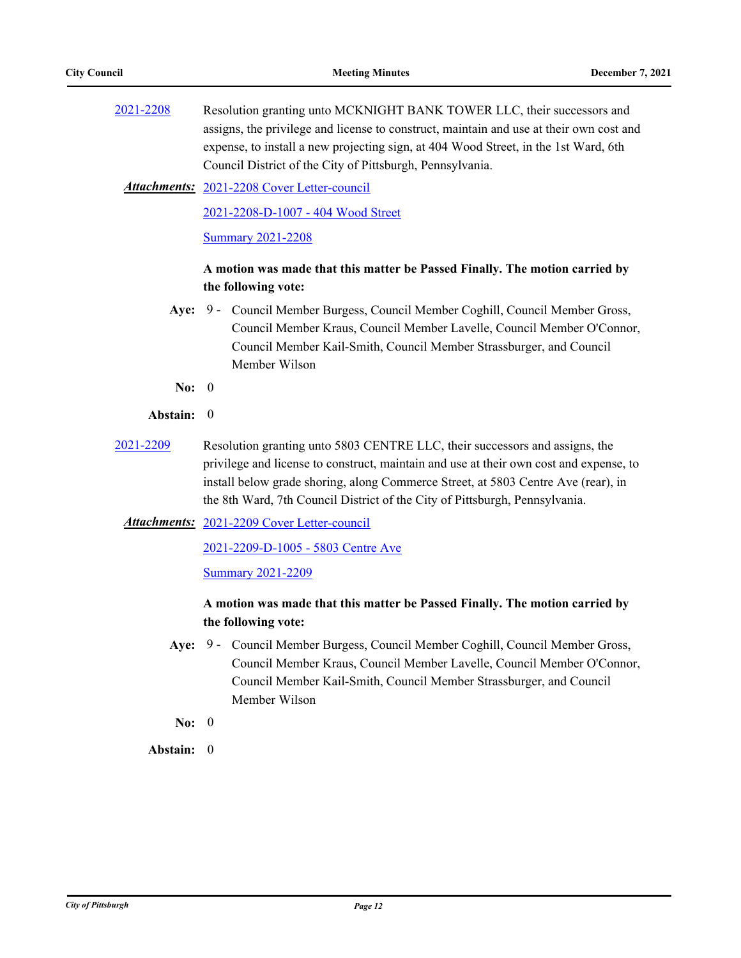- [2021-2208](http://pittsburgh.legistar.com/gateway.aspx?m=l&id=/matter.aspx?key=27110) Resolution granting unto MCKNIGHT BANK TOWER LLC, their successors and assigns, the privilege and license to construct, maintain and use at their own cost and expense, to install a new projecting sign, at 404 Wood Street, in the 1st Ward, 6th Council District of the City of Pittsburgh, Pennsylvania.
	- [2021-2208 Cover Letter-council](http://pittsburgh.legistar.com/gateway.aspx?M=F&ID=402f7033-130c-415d-b3b3-fb3c427acbdc.docx) *Attachments:*

[2021-2208-D-1007 - 404 Wood Street](http://pittsburgh.legistar.com/gateway.aspx?M=F&ID=350c15fc-2e34-459a-b797-ed028801f824.pdf)

**[Summary 2021-2208](http://pittsburgh.legistar.com/gateway.aspx?M=F&ID=85986563-4539-4867-868b-1a5dcb09816a.docx)** 

## **A motion was made that this matter be Passed Finally. The motion carried by the following vote:**

- Aye: 9 Council Member Burgess, Council Member Coghill, Council Member Gross, Council Member Kraus, Council Member Lavelle, Council Member O'Connor, Council Member Kail-Smith, Council Member Strassburger, and Council Member Wilson
- **No:** 0
- **Abstain:** 0
- [2021-2209](http://pittsburgh.legistar.com/gateway.aspx?m=l&id=/matter.aspx?key=27111) Resolution granting unto 5803 CENTRE LLC, their successors and assigns, the privilege and license to construct, maintain and use at their own cost and expense, to install below grade shoring, along Commerce Street, at 5803 Centre Ave (rear), in the 8th Ward, 7th Council District of the City of Pittsburgh, Pennsylvania.
	- Attachments: [2021-2209 Cover Letter-council](http://pittsburgh.legistar.com/gateway.aspx?M=F&ID=9cb75c74-7679-4b2b-93a8-cac91492b95c.docx)

[2021-2209-D-1005 - 5803 Centre Ave](http://pittsburgh.legistar.com/gateway.aspx?M=F&ID=f9e1f10f-8b10-4df1-9234-99507edce01e.pdf)

### **[Summary 2021-2209](http://pittsburgh.legistar.com/gateway.aspx?M=F&ID=e0c2bf9a-8328-4af9-b2c5-43cef5a4e38f.docx)**

## **A motion was made that this matter be Passed Finally. The motion carried by the following vote:**

Aye: 9 - Council Member Burgess, Council Member Coghill, Council Member Gross, Council Member Kraus, Council Member Lavelle, Council Member O'Connor, Council Member Kail-Smith, Council Member Strassburger, and Council Member Wilson

**No:** 0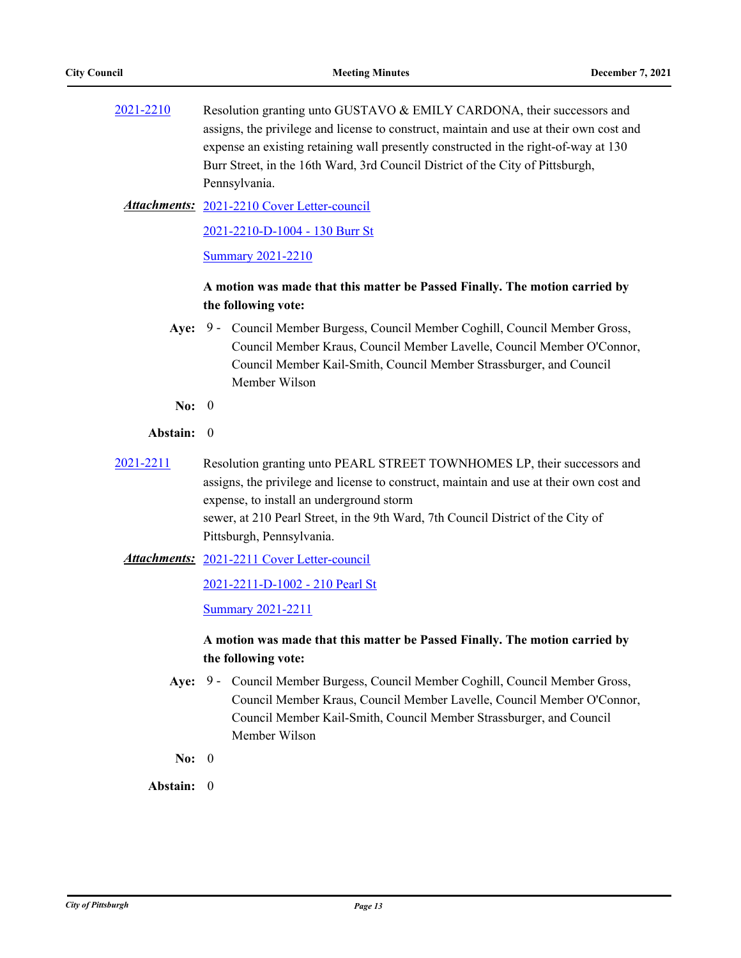[2021-2210](http://pittsburgh.legistar.com/gateway.aspx?m=l&id=/matter.aspx?key=27112) Resolution granting unto GUSTAVO & EMILY CARDONA, their successors and assigns, the privilege and license to construct, maintain and use at their own cost and expense an existing retaining wall presently constructed in the right-of-way at 130 Burr Street, in the 16th Ward, 3rd Council District of the City of Pittsburgh, Pennsylvania.

[2021-2210 Cover Letter-council](http://pittsburgh.legistar.com/gateway.aspx?M=F&ID=cd4866b2-b91d-46e1-b5f8-ed783e69e7e0.docx) *Attachments:*

[2021-2210-D-1004 - 130 Burr St](http://pittsburgh.legistar.com/gateway.aspx?M=F&ID=b544e922-4b69-4ffe-8be8-e067a5aaf7f7.pdf)

[Summary 2021-2210](http://pittsburgh.legistar.com/gateway.aspx?M=F&ID=23b526bf-86c3-4d1b-8b0a-19caab14e0fc.docx)

## **A motion was made that this matter be Passed Finally. The motion carried by the following vote:**

- Aye: 9 Council Member Burgess, Council Member Coghill, Council Member Gross, Council Member Kraus, Council Member Lavelle, Council Member O'Connor, Council Member Kail-Smith, Council Member Strassburger, and Council Member Wilson
- **No:** 0

### **Abstain:** 0

- [2021-2211](http://pittsburgh.legistar.com/gateway.aspx?m=l&id=/matter.aspx?key=27113) Resolution granting unto PEARL STREET TOWNHOMES LP, their successors and assigns, the privilege and license to construct, maintain and use at their own cost and expense, to install an underground storm sewer, at 210 Pearl Street, in the 9th Ward, 7th Council District of the City of Pittsburgh, Pennsylvania.
	- Attachments: [2021-2211 Cover Letter-council](http://pittsburgh.legistar.com/gateway.aspx?M=F&ID=486b4722-fad4-46e9-ad8b-dde637ba9bdd.docx)

[2021-2211-D-1002 - 210 Pearl St](http://pittsburgh.legistar.com/gateway.aspx?M=F&ID=a50ab9a0-54fc-4a58-a187-4df558cbe263.pdf)

[Summary 2021-2211](http://pittsburgh.legistar.com/gateway.aspx?M=F&ID=a13efcbe-426a-4c4a-8453-c48af19819e6.docx)

## **A motion was made that this matter be Passed Finally. The motion carried by the following vote:**

- Aye: 9 Council Member Burgess, Council Member Coghill, Council Member Gross, Council Member Kraus, Council Member Lavelle, Council Member O'Connor, Council Member Kail-Smith, Council Member Strassburger, and Council Member Wilson
- **No:** 0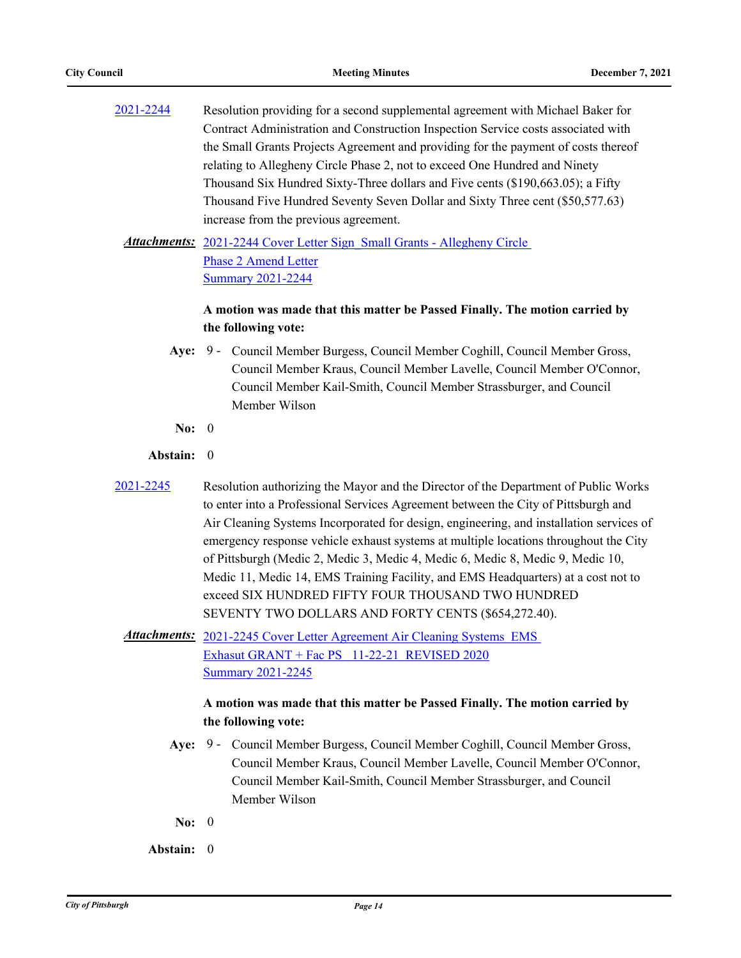| 2021-2244 | Resolution providing for a second supplemental agreement with Michael Baker for    |
|-----------|------------------------------------------------------------------------------------|
|           | Contract Administration and Construction Inspection Service costs associated with  |
|           | the Small Grants Projects Agreement and providing for the payment of costs thereof |
|           | relating to Allegheny Circle Phase 2, not to exceed One Hundred and Ninety         |
|           | Thousand Six Hundred Sixty-Three dollars and Five cents (\$190,663.05); a Fifty    |
|           | Thousand Five Hundred Seventy Seven Dollar and Sixty Three cent (\$50,577.63)      |
|           | increase from the previous agreement.                                              |
|           |                                                                                    |

**Attachments:** 2021-2244 Cover Letter Sign Small Grants - Allegheny Circle Phase 2 Amend Letter [Summary 2021-2244](http://pittsburgh.legistar.com/gateway.aspx?M=F&ID=544a3919-bec5-4128-b0b4-6265b234c878.docx)

## **A motion was made that this matter be Passed Finally. The motion carried by the following vote:**

- Aye: 9 Council Member Burgess, Council Member Coghill, Council Member Gross, Council Member Kraus, Council Member Lavelle, Council Member O'Connor, Council Member Kail-Smith, Council Member Strassburger, and Council Member Wilson
- **No:** 0

### **Abstain:** 0

- 
- [2021-2245](http://pittsburgh.legistar.com/gateway.aspx?m=l&id=/matter.aspx?key=27147) Resolution authorizing the Mayor and the Director of the Department of Public Works to enter into a Professional Services Agreement between the City of Pittsburgh and Air Cleaning Systems Incorporated for design, engineering, and installation services of emergency response vehicle exhaust systems at multiple locations throughout the City of Pittsburgh (Medic 2, Medic 3, Medic 4, Medic 6, Medic 8, Medic 9, Medic 10, Medic 11, Medic 14, EMS Training Facility, and EMS Headquarters) at a cost not to exceed SIX HUNDRED FIFTY FOUR THOUSAND TWO HUNDRED SEVENTY TWO DOLLARS AND FORTY CENTS (\$654,272.40).
	- Attachments: 2021-2245 Cover Letter Agreement Air Cleaning Systems EMS Exhasut GRANT + Fac PS 11-22-21 REVISED 2020 [Summary 2021-2245](http://pittsburgh.legistar.com/gateway.aspx?M=F&ID=f7afc649-3ede-42a6-8916-f4a018cf3c14.docx)

## **A motion was made that this matter be Passed Finally. The motion carried by the following vote:**

- Aye: 9 Council Member Burgess, Council Member Coghill, Council Member Gross, Council Member Kraus, Council Member Lavelle, Council Member O'Connor, Council Member Kail-Smith, Council Member Strassburger, and Council Member Wilson
- **No:** 0
- **Abstain:** 0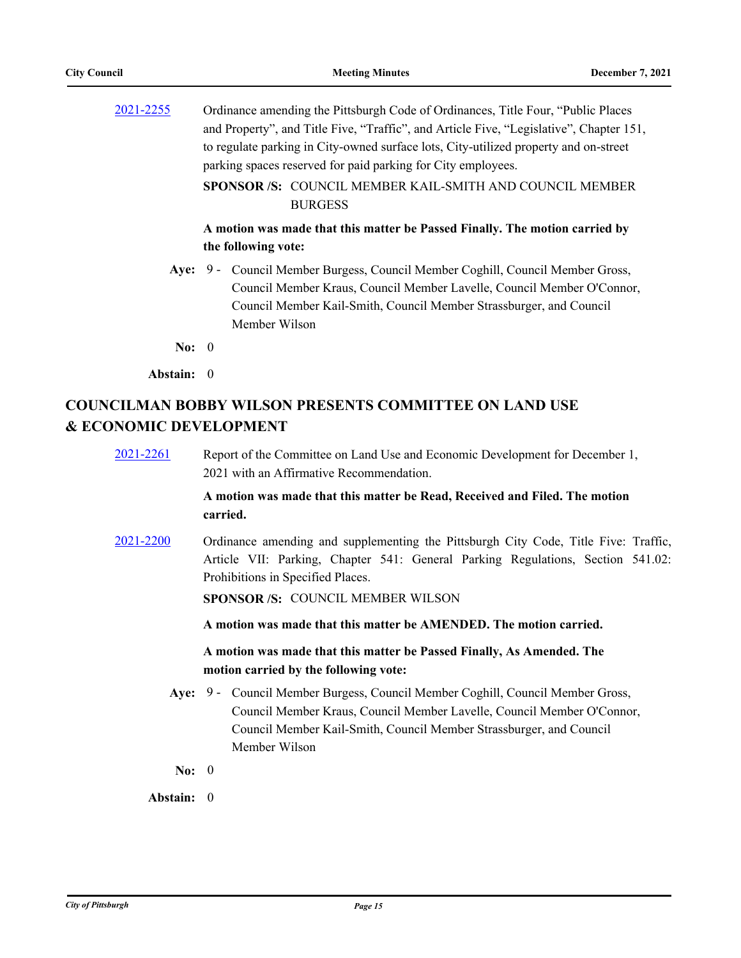| 2021-2255  | Ordinance amending the Pittsburgh Code of Ordinances, Title Four, "Public Places<br>and Property", and Title Five, "Traffic", and Article Five, "Legislative", Chapter 151,<br>to regulate parking in City-owned surface lots, City-utilized property and on-street<br>parking spaces reserved for paid parking for City employees.<br><b>SPONSOR /S: COUNCIL MEMBER KAIL-SMITH AND COUNCIL MEMBER</b><br><b>BURGESS</b> |
|------------|--------------------------------------------------------------------------------------------------------------------------------------------------------------------------------------------------------------------------------------------------------------------------------------------------------------------------------------------------------------------------------------------------------------------------|
|            | A motion was made that this matter be Passed Finally. The motion carried by<br>the following vote:                                                                                                                                                                                                                                                                                                                       |
|            | Aye: 9 - Council Member Burgess, Council Member Coghill, Council Member Gross,<br>Council Member Kraus, Council Member Lavelle, Council Member O'Connor,<br>Council Member Kail-Smith, Council Member Strassburger, and Council<br>Member Wilson                                                                                                                                                                         |
| No: $0$    |                                                                                                                                                                                                                                                                                                                                                                                                                          |
| Abstain: 0 |                                                                                                                                                                                                                                                                                                                                                                                                                          |

# **COUNCILMAN BOBBY WILSON PRESENTS COMMITTEE ON LAND USE & ECONOMIC DEVELOPMENT**

| 2021-2261 | Report of the Committee on Land Use and Economic Development for December 1,<br>2021 with an Affirmative Recommendation.                                                                                                                                |
|-----------|---------------------------------------------------------------------------------------------------------------------------------------------------------------------------------------------------------------------------------------------------------|
|           | A motion was made that this matter be Read, Received and Filed. The motion<br>carried.                                                                                                                                                                  |
| 2021-2200 | Ordinance amending and supplementing the Pittsburgh City Code, Title Five: Traffic,<br>Article VII: Parking, Chapter 541: General Parking Regulations, Section 541.02:<br>Prohibitions in Specified Places.<br><b>SPONSOR /S: COUNCIL MEMBER WILSON</b> |
|           | A motion was made that this matter be AMENDED. The motion carried.                                                                                                                                                                                      |
|           | A motion was made that this matter be Passed Finally, As Amended. The<br>motion carried by the following vote:                                                                                                                                          |
|           | Aye: 9 - Council Member Burgess, Council Member Coghill, Council Member Gross,<br>Council Member Kraus, Council Member Lavelle, Council Member O'Connor,<br>Council Member Kail-Smith, Council Member Strassburger, and Council<br>Member Wilson        |
| No: $0$   |                                                                                                                                                                                                                                                         |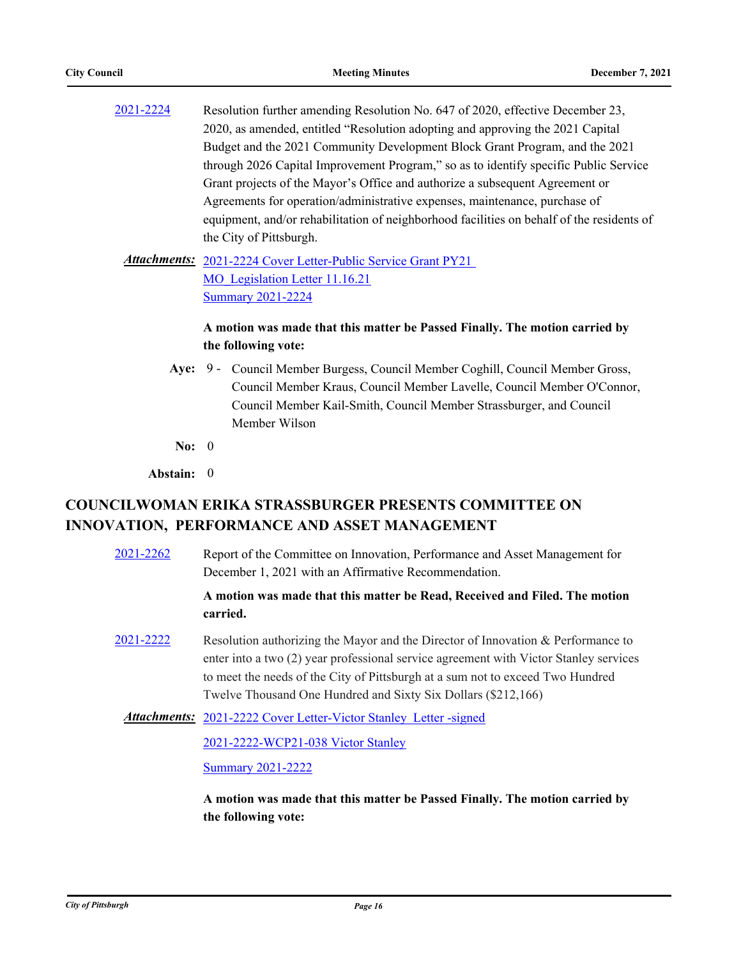[2021-2224](http://pittsburgh.legistar.com/gateway.aspx?m=l&id=/matter.aspx?key=27126) Resolution further amending Resolution No. 647 of 2020, effective December 23, 2020, as amended, entitled "Resolution adopting and approving the 2021 Capital Budget and the 2021 Community Development Block Grant Program, and the 2021 through 2026 Capital Improvement Program," so as to identify specific Public Service Grant projects of the Mayor's Office and authorize a subsequent Agreement or Agreements for operation/administrative expenses, maintenance, purchase of equipment, and/or rehabilitation of neighborhood facilities on behalf of the residents of the City of Pittsburgh.

Attachments: 2021-2224 Cover Letter-Public Service Grant PY21 MO Legislation Letter 11.16.21 [Summary 2021-2224](http://pittsburgh.legistar.com/gateway.aspx?M=F&ID=3c140aa8-371f-4aec-a6dc-fdd448c91f30.docx)

## **A motion was made that this matter be Passed Finally. The motion carried by the following vote:**

- Aye: 9 Council Member Burgess, Council Member Coghill, Council Member Gross, Council Member Kraus, Council Member Lavelle, Council Member O'Connor, Council Member Kail-Smith, Council Member Strassburger, and Council Member Wilson
- **No:** 0
- **Abstain:** 0

# **COUNCILWOMAN ERIKA STRASSBURGER PRESENTS COMMITTEE ON INNOVATION, PERFORMANCE AND ASSET MANAGEMENT**

[2021-2262](http://pittsburgh.legistar.com/gateway.aspx?m=l&id=/matter.aspx?key=27164) Report of the Committee on Innovation, Performance and Asset Management for December 1, 2021 with an Affirmative Recommendation.

## **A motion was made that this matter be Read, Received and Filed. The motion carried.**

[2021-2222](http://pittsburgh.legistar.com/gateway.aspx?m=l&id=/matter.aspx?key=27124) Resolution authorizing the Mayor and the Director of Innovation & Performance to enter into a two (2) year professional service agreement with Victor Stanley services to meet the needs of the City of Pittsburgh at a sum not to exceed Two Hundred Twelve Thousand One Hundred and Sixty Six Dollars (\$212,166)

Attachments: [2021-2222 Cover Letter-Victor Stanley Letter -signed](http://pittsburgh.legistar.com/gateway.aspx?M=F&ID=3b8acac4-24ab-469c-9059-1724ba513800.pdf)

[2021-2222-WCP21-038 Victor Stanley](http://pittsburgh.legistar.com/gateway.aspx?M=F&ID=d34c4198-e7c3-4fbd-a5c7-c5eb4a6acf80.pdf)

[Summary 2021-2222](http://pittsburgh.legistar.com/gateway.aspx?M=F&ID=df8251f9-2bab-4466-a782-c1981d0d1484.docx)

**A motion was made that this matter be Passed Finally. The motion carried by the following vote:**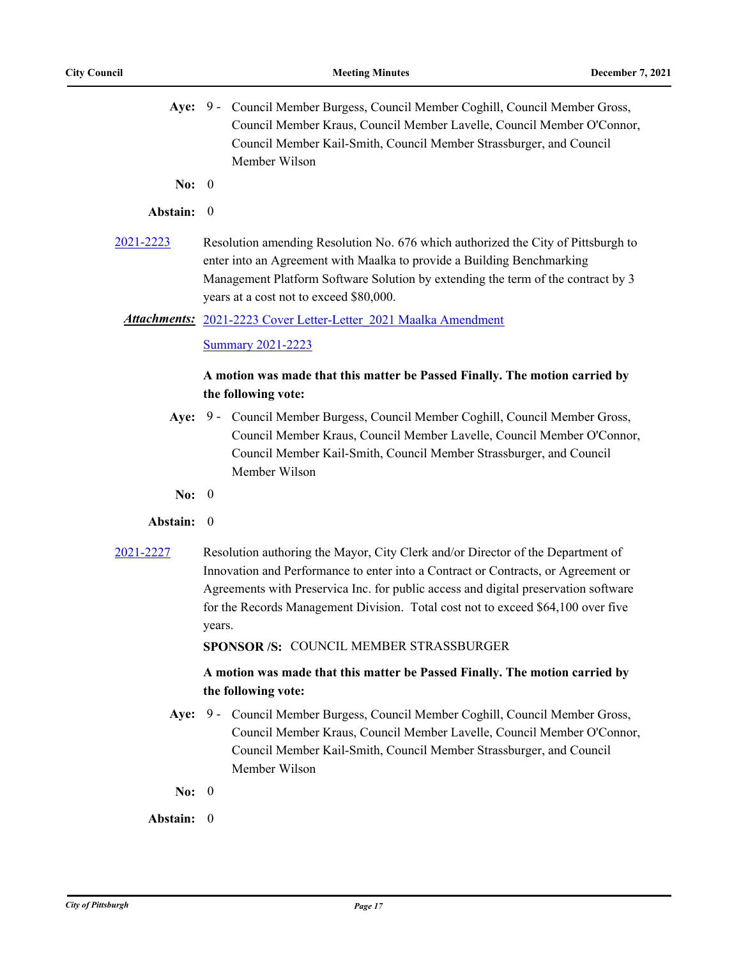- Aye: 9 Council Member Burgess, Council Member Coghill, Council Member Gross, Council Member Kraus, Council Member Lavelle, Council Member O'Connor, Council Member Kail-Smith, Council Member Strassburger, and Council Member Wilson
- **No:** 0

### **Abstain:** 0

[2021-2223](http://pittsburgh.legistar.com/gateway.aspx?m=l&id=/matter.aspx?key=27125) Resolution amending Resolution No. 676 which authorized the City of Pittsburgh to enter into an Agreement with Maalka to provide a Building Benchmarking Management Platform Software Solution by extending the term of the contract by 3 years at a cost not to exceed \$80,000.

### [2021-2223 Cover Letter-Letter\\_2021 Maalka Amendment](http://pittsburgh.legistar.com/gateway.aspx?M=F&ID=b934fce9-a137-4e9f-a60a-8a848b9de60f.docx) *Attachments:*

### **[Summary 2021-2223](http://pittsburgh.legistar.com/gateway.aspx?M=F&ID=575a9d13-aa2b-46bd-8ba6-cdc8e31aed31.docx)**

### **A motion was made that this matter be Passed Finally. The motion carried by the following vote:**

- Aye: 9 Council Member Burgess, Council Member Coghill, Council Member Gross, Council Member Kraus, Council Member Lavelle, Council Member O'Connor, Council Member Kail-Smith, Council Member Strassburger, and Council Member Wilson
- **No:** 0

#### **Abstain:** 0

[2021-2227](http://pittsburgh.legistar.com/gateway.aspx?m=l&id=/matter.aspx?key=27129) Resolution authoring the Mayor, City Clerk and/or Director of the Department of Innovation and Performance to enter into a Contract or Contracts, or Agreement or Agreements with Preservica Inc. for public access and digital preservation software for the Records Management Division. Total cost not to exceed \$64,100 over five years.

**SPONSOR /S:** COUNCIL MEMBER STRASSBURGER

## **A motion was made that this matter be Passed Finally. The motion carried by the following vote:**

- Aye: 9 Council Member Burgess, Council Member Coghill, Council Member Gross, Council Member Kraus, Council Member Lavelle, Council Member O'Connor, Council Member Kail-Smith, Council Member Strassburger, and Council Member Wilson
- **No:** 0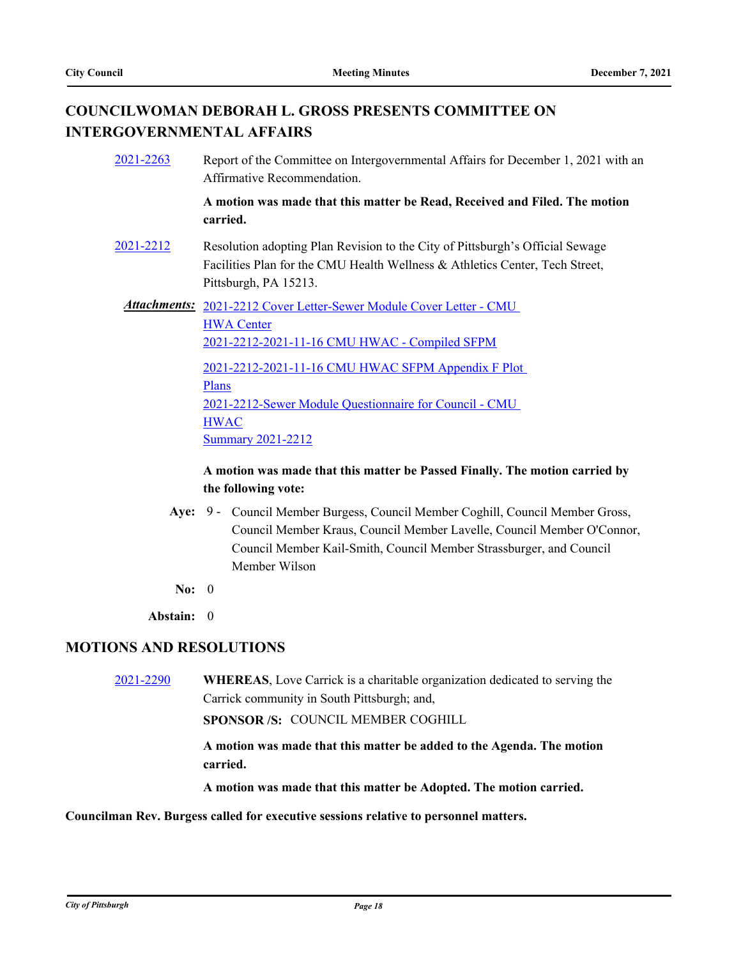# **COUNCILWOMAN DEBORAH L. GROSS PRESENTS COMMITTEE ON INTERGOVERNMENTAL AFFAIRS**

| 2021-2263 | Report of the Committee on Intergovernmental Affairs for December 1, 2021 with an<br>Affirmative Recommendation.                                                                                                                                                                                                     |
|-----------|----------------------------------------------------------------------------------------------------------------------------------------------------------------------------------------------------------------------------------------------------------------------------------------------------------------------|
|           | A motion was made that this matter be Read, Received and Filed. The motion<br>carried.                                                                                                                                                                                                                               |
| 2021-2212 | Resolution adopting Plan Revision to the City of Pittsburgh's Official Sewage<br>Facilities Plan for the CMU Health Wellness & Athletics Center, Tech Street,<br>Pittsburgh, PA 15213.                                                                                                                               |
|           | Attachments: 2021-2212 Cover Letter-Sewer Module Cover Letter - CMU<br><b>HWA Center</b><br>2021-2212-2021-11-16 CMU HWAC - Compiled SFPM<br>2021-2212-2021-11-16 CMU HWAC SFPM Appendix F Plot<br><b>Plans</b><br>2021-2212-Sewer Module Questionnaire for Council - CMU<br><b>HWAC</b><br><b>Summary 2021-2212</b> |

## **A motion was made that this matter be Passed Finally. The motion carried by the following vote:**

- Aye: 9 Council Member Burgess, Council Member Coghill, Council Member Gross, Council Member Kraus, Council Member Lavelle, Council Member O'Connor, Council Member Kail-Smith, Council Member Strassburger, and Council Member Wilson
- **No:** 0

**Abstain:** 0

## **MOTIONS AND RESOLUTIONS**

[2021-2290](http://pittsburgh.legistar.com/gateway.aspx?m=l&id=/matter.aspx?key=27193) **WHEREAS**, Love Carrick is a charitable organization dedicated to serving the Carrick community in South Pittsburgh; and,

**SPONSOR /S:** COUNCIL MEMBER COGHILL

**A motion was made that this matter be added to the Agenda. The motion carried.**

**A motion was made that this matter be Adopted. The motion carried.**

### **Councilman Rev. Burgess called for executive sessions relative to personnel matters.**